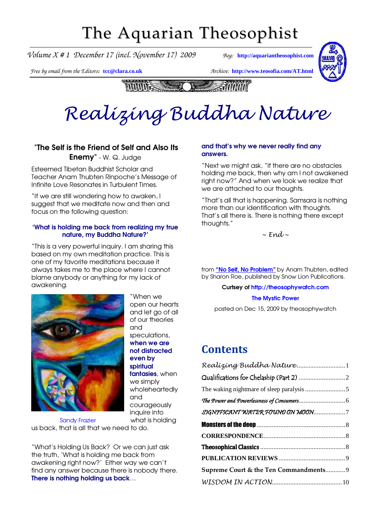# The Aquarian Theosophist

*Volume X # 1 December 17 (incl. November 17) 2009 Bog:* **[http://aquariantheosophist.com](http://aquariantheosophist.com/)**



*Free by email from the Editors:* **[tcc@clara.co.uk](mailto:tcc@clara.co.uk)** *Archive:* **<http://www.teosofia.com/AT.html>**

**Andrin MANIFESSIONER TELEVISION** 

 $\overline{C}$ Realizing Buddha Nature

### ["The Self is the Friend of Self and Also Its](http://www.theosophy-nw.org/theosnw/view/view0708.htm#judge)

Enemy" - W. Q. Judge

Esteemed Tibetan Buddhist Scholar and Teacher Anam Thubten Rinpoche's Message of Infinite Love Resonates in Turbulent Times.

"If we are still wondering how to awaken, I suggest that we meditate now and then and focus on the following question:

### 'What is holding me back from realizing my true nature, my Buddha Nature?'

"This is a very powerful inquiry. I am sharing this based on my own meditation practice. This is one of my favorite meditations because it always takes me to the place where I cannot blame anybody or anything for my lack of awakening.



"When we open our hearts and let go of all of our theories and speculations, when we are not distracted even by spiritual fantasies, when we simply wholeheartedly and courageously inquire into

 Sandy Frazier [what is holding](http://www.flickr.com/photos/sandyfrazier/sets/72157600359726345)  us back, that is all that we need to do.

"What's Holding Us Back? Or we can just ask the truth, 'What is holding me back from awakening right now?' Either way we can't find any answer because there is nobody there. There is nothing holding us back…

### and that's why we never really find any answers.

"Next we might ask, "If there are no obstacles holding me back, then why am I not awakened right now?" And when we look we realize that we are attached to our thoughts.

"That's all that is happening. Samsara is nothing more than our identification with thoughts. That's all there is. There is nothing there except thoughts."

 $\sim$  End  $\sim$ 

from "No Self, No Problem" by Anam Thubten, edited by Sharon Roe, published by Snow Lion Publications.

#### Curtsey of [http://theosophywatch.com](http://theosophywatch.com/)

#### [The Mystic Power](http://theosophywatch.com/2009/12/15/the-mystic-power/)

posted on Dec 15, 2009 by theosophywatch

### **Contents**

| SIGNIFICANT WATER FOUND ON MOON7       |  |
|----------------------------------------|--|
|                                        |  |
|                                        |  |
|                                        |  |
|                                        |  |
| Supreme Court & the Ten Commandments 9 |  |
|                                        |  |
|                                        |  |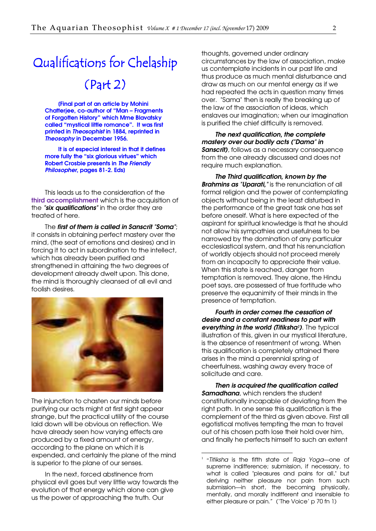## <span id="page-1-0"></span>Qualifications for Chelaship  $(Part 2)$

[Final part of an article by Mohini Chatterjee, co-author of "Man – Fragments of Forgotten History" which Mme Blavatsky called "mystical little romance". It was first printed in Theosophist in 1884, reprinted in Theosophy in December 1956.

It is of especial interest in that it defines more fully the "six glorious virtues" which Robert Crosbie presents in The Friendly Philosopher, pages 81-2. Eds]

This leads us to the consideration of the third accomplishment which is the acquisition of the "six qualifications" in the order they are treated of here.

The first of them is called in Sanscrit "Soma": it consists in obtaining perfect mastery over the mind, (the seat of emotions and desires) and in forcing it to act in subordination to the intellect, which has already been purified and strengthened in attaining the two degrees of development already dwelt upon. This done, the mind is thoroughly cleansed of all evil and foolish desires.



The injunction to chasten our minds before purifying our acts might at first sight appear strange, but the practical utility of the course laid down will be obvious on reflection. We have already seen how varying effects are produced by a fixed amount of energy, according to the plane on which it is expended, and certainly the plane of the mind is superior to the plane of our senses.

In the next, forced abstinence from physical evil goes but very little way towards the evolution of that energy which alone can give us the power of approaching the truth. Our

thoughts, governed under ordinary circumstances by the law of association, make us contemplate incidents in our past life and thus produce as much mental disturbance and draw as much on our mental energy as if we had repeated the acts in question many times over. "Sama" then is really the breaking up of the law of the association of ideas, which enslaves our imagination; when our imagination is purified the chief difficulty is removed.

The next qualification, the complete mastery over our bodily acts ("Dama" in Sanscrit), follows as a necessary consequence from the one already discussed and does not require much explanation.

The Third qualification, known by the Brahmins as "Uparati," is the renunciation of all formal religion and the power of contemplating objects without being in the least disturbed in the performance of the great task one has set before oneself. What is here expected of the aspirant for spiritual knowledge is that he should not allow his sympathies and usefulness to be narrowed by the domination of any particular ecclesiastical system, and that his renunciation of worldly objects should not proceed merely from an incapacity to appreciate their value. When this state is reached, danger from temptation is removed. They alone, the Hindu poet says, are possessed of true fortitude who preserve the equanimity of their minds in the presence of temptation.

Fourth in order comes the cessation of desire and a constant readiness to part with everything in the world (Titiksha<sup>1</sup>). The typical illustration of this, given in our mystical literature, is the absence of resentment of wrong. When this qualification is completely attained there arises in the mind a perennial spring of cheerfulness, washing away every trace of solicitude and care.

Then is acquired the qualification called **Samadhana**, which renders the student constitutionally incapable of deviating from the right path. In one sense this qualification is the complement of the third as given above. First all egotistical motives tempting the man to travel out of his chosen path lose their hold over him, and finally he perfects himself to such an extent

-

<sup>1</sup> "Titiksha is the fifth state of Raja Yoga—one of supreme indifference; submission, if necessary, to what is called "pleasures and pains for all," but deriving neither pleasure nor pain from such submission—in short, the becoming physically, mentally, and morally indifferent and insensible to either pleasure or pain." ('The Voice' p 70 fn 1)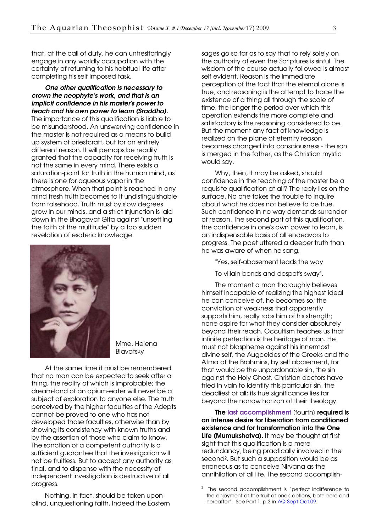that, at the call of duty, he can unhesitatingly engage in any worldly occupation with the certainty of returning to his habitual life after completing his self imposed task.

One other qualification is necessary to crown the neophyte's work, and that is an implicit confidence in his master's power to teach and his own power to learn (Sraddha). The importance of this qualification is liable to be misunderstood. An unswerving confidence in the master is not required as a means to build up system of priestcraft, but for an entirely different reason. It will perhaps be readily granted that the capacity for receiving truth is not the same in every mind. There exists a saturation-point for truth in the human mind, as there is one for aqueous vapor in the atmosphere. When that point is reached in any mind fresh truth becomes to it undistinguishable from falsehood. Truth must by slow degrees grow in our minds, and a strict injunction is laid down in the Bhagavat Gita against "unsettling the faith of the multitude" by a too sudden revelation of esoteric knowledge.



Mme. Helena Blavatsky

At the same time it must be remembered that no man can be expected to seek after a thing, the reality of which is improbable; the dream-land of an opium-eater will never be a subject of exploration to anyone else. The truth perceived by the higher faculties of the Adepts cannot be proved to one who has not developed those faculties, otherwise than by showing its consistency with known truths and by the assertion of those who claim to know. The sanction of a competent authority is a sufficient guarantee that the investigation will not be fruitless. But to accept any authority as final, and to dispense with the necessity of independent investigation is destructive of all progress.

Nothing, in fact, should be taken upon blind, unquestioning faith. Indeed the Eastern sages go so far as to say that to rely solely on the authority of even the Scriptures is sinful. The wisdom of the course actually followed is almost self evident. Reason is the immediate perception of the fact that the eternal alone is true, and reasoning is the attempt to trace the existence of a thing all through the scale of time; the longer the period over which this operation extends the more complete and satisfactory is the reasoning considered to be. But the moment any fact of knowledge is realized on the plane of eternity reason becomes changed into consciousness - the son is merged in the father, as the Christian mystic would say.

Why, then, it may be asked, should confidence in the teaching of the master be a requisite qualification at all? The reply lies on the surface. No one takes the trouble to inquire about what he does not believe to be true. Such confidence in no way demands surrender of reason. The second part of this qualification, the confidence in one's own power to learn, is an indispensable basis of all endeavors to progress. The poet uttered a deeper truth than he was aware of when he sang;

"Yes, self-abasement leads the way

To villain bonds and despot's sway".

The moment a man thoroughly believes himself incapable of realizing the highest ideal he can conceive of, he becomes so; the conviction of weakness that apparently supports him, really robs him of his strength; none aspire for what they consider absolutely beyond their reach. Occultism teaches us that infinite perfection is the heritage of man. He must not blaspheme against his innermost divine self, the Augoeides of the Greeks and the Atma of the Brahmins, by self abasement, for that would be the unpardonable sin, the sin against the Holy Ghost. Christian doctors have tried in vain to identify this particular sin, the deadliest of all; its true significance lies far beyond the narrow horizon of their theology.

The last accomplishment (fourth) required is an intense desire for liberation from conditioned existence and for transformation into the One Life (Mumukshatva). It may be thought at first sight that this qualification is a mere redundancy, being practically involved in the second2. But such a supposition would be as erroneous as to conceive Nirvana as the annihilation of all life. The second accomplish-

-

<sup>2</sup> The second accomplishment is "perfect indifference to the enjoyment of the fruit of one's actions, both here and hereafter". See Part 1, p 3 in AQ Sept-Oct 09.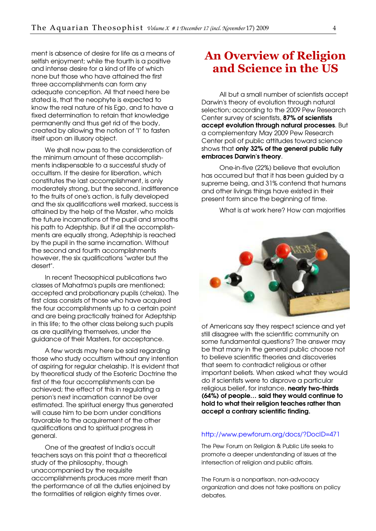ment is absence of desire for life as a means of selfish enjoyment; while the fourth is a positive and intense desire for a kind of life of which none but those who have attained the first three accomplishments can form any adequate conception. All that need here be stated is, that the neophyte is expected to know the real nature of his Ego, and to have a fixed determination to retain that knowledge permanently and thus get rid of the body, created by allowing the notion of "I" to fasten itself upon an illusory object.

We shall now pass to the consideration of the minimum amount of these accomplishments indispensable to a successful study of occultism. If the desire for liberation, which constitutes the last accomplishment, is only moderately strong, but the second, indifference to the fruits of one's action, is fully developed and the six qualifications well marked, success is attained by the help of the Master, who molds the future incarnations of the pupil and smooths his path to Adeptship. But if all the accomplishments are equally strong, Adeptship is reached by the pupil in the same incarnation. Without the second and fourth accomplishments however, the six qualifications "water but the desert".

In recent Theosophical publications two classes of Mahatma's pupils are mentioned; accepted and probationary pupils (chelas). The first class consists of those who have acquired the four accomplishments up to a certain point and are being practically trained for Adeptship in this life; to the other class belong such pupils as are qualifying themselves, under the guidance of their Masters, for acceptance.

A few words may here be said regarding those who study occultism without any intention of aspiring for regular chelaship. It is evident that by theoretical study of the Esoteric Doctrine the first of the four accomplishments can be achieved; the effect of this in regulating a person's next incarnation cannot be over estimated. The spiritual energy thus generated will cause him to be born under conditions favorable to the acquirement of the other qualifications and to spiritual progress in general.

One of the greatest of India's occult teachers says on this point that a theoretical study of the philosophy, though unaccompanied by the requisite accomplishments produces more merit than the performance of all the duties enjoined by the formalities of religion eighty times over.

### An Overview of Religion and Science in the US

All but a small number of scientists accept Darwin's theory of evolution through natural selection; according to the 2009 Pew Research Center survey of scientists, 87% of scientists accept evolution through natural processes. But a complementary May 2009 Pew Research Center poll of public attitudes toward science shows that only 32% of the general public fully embraces Darwin's theory.

One-in-five (22%) believe that evolution has occurred but that it has been guided by a supreme being, and 31% contend that humans and other livings things have existed in their present form since the beginning of time.

What is at work here? How can majorities



of Americans say they respect science and yet still disagree with the scientific community on some fundamental questions? The answer may be that many in the general public choose not to believe scientific theories and discoveries that seem to contradict religious or other important beliefs. When asked what they would do if scientists were to disprove a particular religious belief, for instance, nearly two-thirds (64%) of people… said they would continue to hold to what their religion teaches rather than accept a contrary scientific finding.

#### <http://www.pewforum.org/docs/?DocID=471>

The Pew Forum on Religion & Public Life seeks to promote a deeper understanding of issues at the intersection of religion and public affairs.

The Forum is a nonpartisan, non-advocacy organization and does not take positions on policy debates.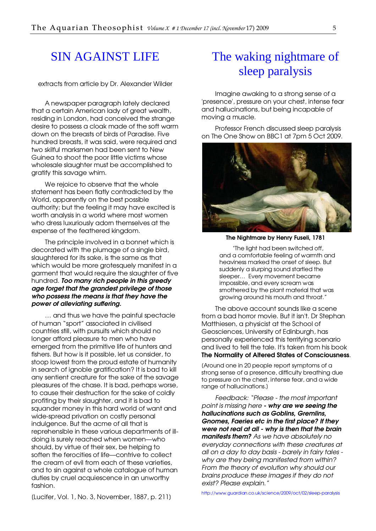### <span id="page-4-0"></span>SIN AGAINST LIFE

extracts from article by Dr. Alexander Wilder

A newspaper paragraph lately declared that a certain American lady of great wealth, residing in London, had conceived the strange desire to possess a cloak made of the soft warm down on the breasts of birds of Paradise. Five hundred breasts, it was said, were required and two skilful marksmen had been sent to New Guinea to shoot the poor little victims whose wholesale slaughter must be accomplished to gratify this savage whim.

We rejoice to observe that the whole statement has been flatly contradicted by the World, apparently on the best possible authority; but the feeling it may have excited is worth analysis in a world where most women who dress luxuriously adorn themselves at the expense of the feathered kingdom.

The principle involved in a bonnet which is decorated with the plumage of a single bird, slaughtered for its sake, is the same as that which would be more grotesquely manifest in a garment that would require the slaughter of five hundred. Too many rich people in this greedy age forget that the grandest privilege of those who possess the means is that they have the power of alleviating suffering.

… and thus we have the painful spectacle of human "sport" associated in civilised countries still, with pursuits which should no longer afford pleasure to men who have emerged from the primitive life of hunters and fishers. But how is it possible, let us consider, to stoop lowest from the proud estate of humanity in search of ignoble gratification? It is bad to kill any sentient creature for the sake of the savage pleasures of the chase. It is bad, perhaps worse, to cause their destruction for the sake of coldly profiting by their slaughter, and it is bad to squander money in this hard world of want and wide-spread privation on costly personal indulgence. But the acme of all that is reprehensible in these various departments of illdoing is surely reached when women—who should, by virtue of their sex, be helping to soften the ferocities of life—contrive to collect the cream of evil from each of these varieties, and to sin against a whole catalogue of human duties by cruel acquiescence in an unworthy fashion.

The waking nightmare of sleep paralysis

Imagine awaking to a strong sense of a 'presence', pressure on your chest, intense fear and hallucinations, but being incapable of moving a muscle.

Professor French discussed sleep paralysis on The One Show on BBC1 at 7pm 5 Oct 2009.



The Nightmare by Henry Fuseli, 1781

"The light had been switched off, and a comfortable feeling of warmth and heaviness marked the onset of sleep. But suddenly a slurping sound startled the sleeper… Every movement became impossible, and every scream was smothered by the plant material that was growing around his mouth and throat."

The above account sounds like a scene from a bad horror movie. But it isn't. [Dr Stephan](http://www.stephan-matthiesen.de/en/)  Matthiesen, a physicist at the School of Geosciences, University of Edinburgh, has personally experienced this terrifying scenario and lived to tell the tale. It's taken from his book The Normality of Altered States of Consciousness.

[Around one in 20 people report symptoms of a strong sense of a presence, difficulty breathing due to pressure on the chest, intense fear, and a wide range of hallucinations.]

Feedback: "Please - the most important point is missing here - why are we seeing the hallucinations such as Goblins, Gremlins, Gnomes, Faeries etc in the first place? If they were not real at all - why is then that the brain manifests them? As we have absolutely no everyday connections with these creatures at all on a day to day basis - barely in fairy tales why are they being manifested from within? From the theory of evolution why should our brains produce these images if they do not exist? Please explain."

[Lucifer, Vol. 1, No. 3, November, 1887, p. 211]

<http://www.guardian.co.uk/science/2009/oct/02/sleep-paralysis>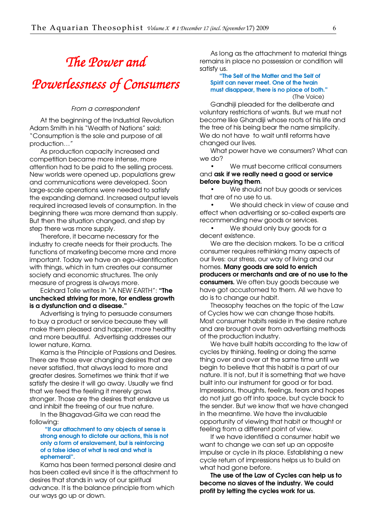## <span id="page-5-0"></span>*The Power and*  **Powerlessness of Consumers**

#### From a correspondent

At the beginning of the Industrial Revolution Adam Smith in his "Wealth of Nations" said: "Consumption is the sole and purpose of all production…"

As production capacity increased and competition became more intense, more attention had to be paid to the selling process. New worlds were opened up, populations grew and communications were developed. Soon large-scale operations were needed to satisfy the expanding demand. Increased output levels required increased levels of consumption. In the beginning there was more demand than supply. But then the situation changed, and step by step there was more supply.

Therefore, it became necessary for the industry to create needs for their products. The functions of marketing become more and more important. Today we have an ego–identification with things, which in turn creates our consumer society and economic structures. The only measure of progress is always more.

Eckhard Tolle writes in "A NEW EARTH": "The unchecked striving for more, for endless growth is a dysfunction and a disease."

Advertising is trying to persuade consumers to buy a product or service because they will make them pleased and happier, more healthy and more beautiful. Advertising addresses our lower nature, Kama.

Kama is the Principle of Passions and Desires. There are those ever changing desires that are never satisfied, that always lead to more and greater desires. Sometimes we think that if we satisfy the desire it will go away. Usually we find that we feed the feeling it merely grows stronger. Those are the desires that enslave us and inhibit the freeing of our true nature.

In the Bhagavad-Gita we can read the following:

"If our attachment to any objects of sense is strong enough to dictate our actions, this is not only a form of enslavement, but is reinforcing of a false idea of what is real and what is ephemeral".

Kama has been termed personal desire and has been called evil since it is the attachment to desires that stands in way of our spiritual advance. It is the balance principle from which our ways go up or down.

As long as the attachment to material things remains in place no possession or condition will satisfy us.

#### "The Self of the Matter and the Self of Spirit can never meet. One of the twain must disappear, there is no place of both." (The Voice)

Gandhiji pleaded for the deliberate and voluntary restrictions of wants. But we must not become like Ghandiji whose roots of his life and the tree of his being bear the name simplicity. We do not have to wait until reforms have changed our lives.

What power have we consumers? What can we do?

We must become critical consumers and ask if we really need a good or service before buying them.

We should not buy goods or services that are of no use to us.

We should check in view of cause and effect when advertising or so-called experts are recommending new goods or services.

• We should only buy goods for a decent existence.

We are the decision makers. To be a critical consumer requires rethinking many aspects of our lives: our stress, our way of living and our homes. Many goods are sold to enrich producers or merchants and are of no use to the consumers. We often buy goods because we have got accustomed to them. All we have to do is to change our habit.

Theosophy teaches on the topic of the Law of Cycles how we can change those habits. Most consumer habits reside in the desire nature and are brought over from advertising methods of the production industry.

We have built habits according to the law of cycles by thinking, feeling or doing the same thing over and over at the same time until we begin to believe that this habit is a part of our nature. It is not, but it is something that we have built into our instrument for good or for bad. Impressions, thoughts, feelings, fears and hopes do not just go off into space, but cycle back to the sender. But we know that we have changed in the meantime. We have the invaluable opportunity of viewing that habit or thought or feeling from a different point of view.

If we have identified a consumer habit we want to change we can set up an opposite impulse or cycle in its place. Establishing a new cycle return of impressions helps us to build on what had gone before.

The use of the Law of Cycles can help us to become no slaves of the industry. We could profit by letting the cycles work for us.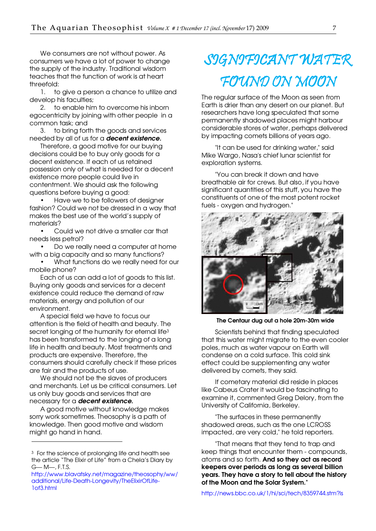<span id="page-6-0"></span>We consumers are not without power. As consumers we have a lot of power to change the supply of the industry. Traditional wisdom teaches that the function of work is at heart threefold:

1. to give a person a chance to utilize and develop his faculties;

2. to enable him to overcome his inborn egocentricity by joining with other people in a common task; and

3. to bring forth the goods and services needed by all of us for a **decent existence**.

Therefore, a good motive for our buying decisions could be to buy only goods for a decent existence. If each of us retained possession only of what is needed for a decent existence more people could live in contentment. We should ask the following questions before buying a good:

• Have we to be followers of designer fashion? Could we not be dressed in a way that makes the best use of the world's supply of materials?

• Could we not drive a smaller car that needs less petrol?

• Do we really need a computer at home with a big capacity and so many functions?

• What functions do we really need for our mobile phone?

Each of us can add a lot of goods to this list. Buying only goods and services for a decent existence could reduce the demand of raw materials, energy and pollution of our environment.

A special field we have to focus our attention is the field of health and beauty. The secret longing of the humanity for eternal life<sup>3</sup> has been transformed to the longing of a long life in health and beauty. Most treatments and products are expensive. Therefore, the consumers should carefully check if these prices are fair and the products of use.

We should not be the slaves of producers and merchants. Let us be critical consumers. Let us only buy goods and services that are necessary for a **decent existence**.

A good motive without knowledge makes sorry work sometimes. Theosophy is a path of knowledge. Then good motive and wisdom might go hand in hand.

-

## SIGNIFICANT WATER FOUND ON MOON

The regular surface of the Moon as seen from Earth is drier than any desert on our planet. But researchers have long speculated that some permanently shadowed places might harbour considerable stores of water, perhaps delivered by impacting comets billions of years ago.

"It can be used for drinking water," said Mike Wargo, Nasa's chief lunar scientist for exploration systems.

"You can break it down and have breathable air for crews. But also, if you have significant quantities of this stuff, you have the constituents of one of the most potent rocket fuels - oxygen and hydrogen."



The Centaur dug out a hole 20m-30m wide

Scientists behind that finding speculated that this water might migrate to the even cooler poles, much as water vapour on Earth will condense on a cold surface. This cold sink effect could be supplementing any water delivered by comets, they said.

If cometary material did reside in places like Cabeus Crater it would be fascinating to examine it, commented Greg Delory, from the University of California, Berkeley.

"The surfaces in these permanently shadowed areas, such as the one LCROSS impacted, are very cold," he told reporters.

"That means that they tend to trap and keep things that encounter them - compounds, atoms and so forth. And so they act as record keepers over periods as long as several billion years. They have a story to tell about the history of the Moon and the Solar System."

<sup>3</sup> For the science of prolonging life and health see the article "The Elixir of Life" from a Chela's Diary by G— M—, F.T.S.

http://www.blavatsky.net/magazine/theosophy/ww/ additional/Life-Death-Longevity/TheElixirOfLife-1of3.html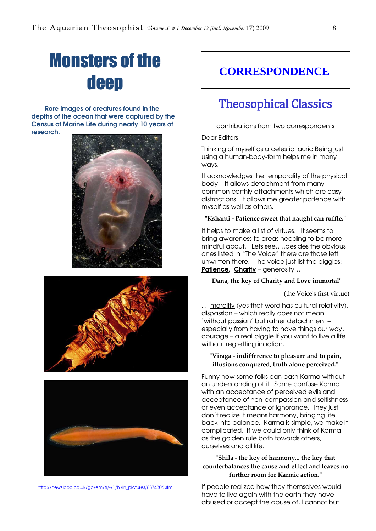# <span id="page-7-0"></span>Monsters of the deep

Rare images of creatures found in the depths of the ocean that were captured by the Census of Marine Life during nearly 10 years of research.







[http://news.bbc.co.uk/go/em/fr/-/1/hi/in\\_pictures/8374306.stm](http://news.bbc.co.uk/go/em/fr/-/1/hi/in_pictures/8374306.stm)

### **CORRESPONDENCE**

### **Theosophical Classics**

contributions from two correspondents

#### Dear Editors

Thinking of myself as a celestial auric Being just using a human-body-form helps me in many ways.

It acknowledges the temporality of the physical body. It allows detachment from many common earthly attachments which are easy distractions. It allows me greater patience with myself as well as others.

#### "Kshanti - Patience sweet that naught can ruffle."

It helps to make a list of virtues. It seems to bring awareness to areas needing to be more mindful about. Lets see…..besides the obvious ones listed in "The Voice" there are those left unwritten there. The voice just list the biggies: Patience, Charity - generosity...

#### "Dana, the key of Charity and Love immortal"

(the Voice's first virtue)

... morality (yes that word has cultural relativity), dispassion – which really does not mean 'without passion' but rather detachment – especially from having to have things our way, courage – a real biggie if you want to live a life without regretting inaction.

### "Viraga - indifference to pleasure and to pain, illusions conquered, truth alone perceived."

Funny how some folks can bash Karma without an understanding of it. Some confuse Karma with an acceptance of perceived evils and acceptance of non-compassion and selfishness or even acceptance of ignorance. They just don't realize it means harmony, bringing life back into balance. Karma is simple, we make it complicated. If we could only think of Karma as the golden rule both towards others, ourselves and all life.

### "Shila - the key of harmony... the key that counterbalances the cause and effect and leaves no further room for Karmic action."

If people realized how they themselves would have to live again with the earth they have abused or accept the abuse of, I cannot but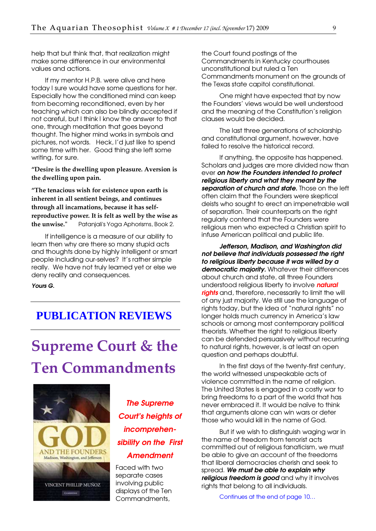<span id="page-8-0"></span>help that but think that, that realization might make some difference in our environmental values and actions.

If my mentor H.P.B. were alive and here today I sure would have some questions for her. Especially how the conditioned mind can keep from becoming reconditioned, even by her teaching which can also be blindly accepted if not careful, but I think I know the answer to that one, through meditation that goes beyond thought. The higher mind works in symbols and pictures, not words. Heck, I'd just like to spend some time with her. Good thing she left some writing, for sure.

"Desire is the dwelling upon pleasure. Aversion is the dwelling upon pain.

"The tenacious wish for existence upon earth is inherent in all sentient beings, and continues through all incarnations, because it has selfreproductive power. It is felt as well by the wise as the unwise." Patanjali's Yoga Aphorisms, Book 2.

If intelligence is a measure of our ability to learn then why are there so many stupid acts and thoughts done by highly intelligent or smart people including our-selves? It's rather simple really. We have not truly learned yet or else we deny reality and consequences.

Yours G.

### **PUBLICATION REVIEWS**

# Supreme Court & the Ten Commandments



The Supreme Court's heights of incomprehensibility on the First Amendment

Faced with two separate cases involving public displays of the Ten Commandments,

the Court found postings of the Commandments in Kentucky courthouses unconstitutional but ruled a Ten Commandments monument on the grounds of the Texas state capitol constitutional.

One might have expected that by now the Founders' views would be well understood and the meaning of the Constitution's religion clauses would be decided.

The last three generations of scholarship and constitutional argument, however, have failed to resolve the historical record.

If anything, the opposite has happened. Scholars and judges are more divided now than ever on how the Founders intended to protect religious liberty and what they meant by the separation of church and state. Those on the left often claim that the Founders were skeptical deists who sought to erect an impenetrable wall of separation. Their counterparts on the right regularly contend that the Founders were religious men who expected a Christian spirit to infuse American political and public life.

Jefferson, Madison, and Washington did not believe that individuals possessed the right to religious liberty because it was willed by a democratic majority. Whatever their differences about church and state, all three Founders understood religious liberty to involve natural rights and, therefore, necessarily to limit the will of any just majority. We still use the language of rights today, but the idea of "natural rights" no longer holds much currency in America's law schools or among most contemporary political theorists. Whether the right to religious liberty can be defended persuasively without recurring to natural rights, however, is at least an open question and perhaps doubtful.

In the first days of the twenty-first century, the world witnessed unspeakable acts of violence committed in the name of religion. The United States is engaged in a costly war to bring freedoms to a part of the world that has never embraced it. It would be naïve to think that arguments alone can win wars or deter those who would kill in the name of God.

But if we wish to distinguish waging war in the name of freedom from terrorist acts committed out of religious fanaticism, we must be able to give an account of the freedoms that liberal democracies cherish and seek to spread. We must be able to explain why religious freedom is good and why it involves rights that belong to all individuals.

[Continues at the end of page 10…](#page-9-0)